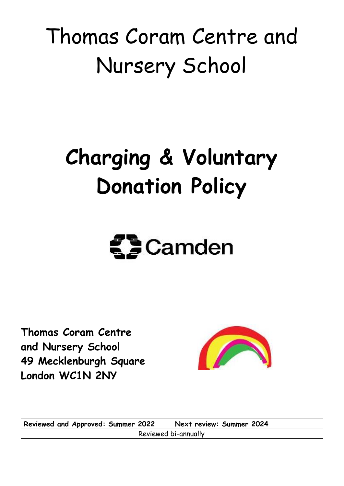# Thomas Coram Centre and Nursery School

# **Charging & Voluntary Donation Policy**

# $\mathbf{S}$  Camden

**Thomas Coram Centre and Nursery School 49 Mecklenburgh Square London WC1N 2NY**



**Reviewed and Approved: Summer 2022 Next review: Summer 2024** Reviewed bi-annually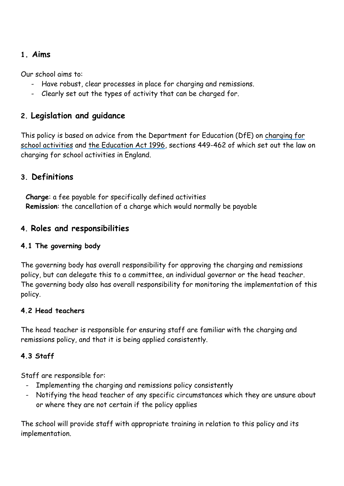## **1. Aims**

Our school aims to:

- Have robust, clear processes in place for charging and remissions.
- Clearly set out the types of activity that can be charged for.

# **2. Legislation and guidance**

This policy is based on advice from the Department for Education (DfE) on [charging for](https://www.gov.uk/government/publications/charging-for-school-activities)  [school activities](https://www.gov.uk/government/publications/charging-for-school-activities) and [the Education Act 1996,](http://www.legislation.gov.uk/ukpga/1996/56/part/VI/chapter/III) sections 449-462 of which set out the law on charging for school activities in England.

# **3. Definitions**

**Charge**: a fee payable for specifically defined activities **Remission**: the cancellation of a charge which would normally be payable

# **4. Roles and responsibilities**

#### **4.1 The governing body**

The governing body has overall responsibility for approving the charging and remissions policy, but can delegate this to a committee, an individual governor or the head teacher. The governing body also has overall responsibility for monitoring the implementation of this policy.

#### **4.2 Head teachers**

The head teacher is responsible for ensuring staff are familiar with the charging and remissions policy, and that it is being applied consistently.

#### **4.3 Staff**

Staff are responsible for:

- Implementing the charging and remissions policy consistently
- Notifying the head teacher of any specific circumstances which they are unsure about or where they are not certain if the policy applies

The school will provide staff with appropriate training in relation to this policy and its implementation.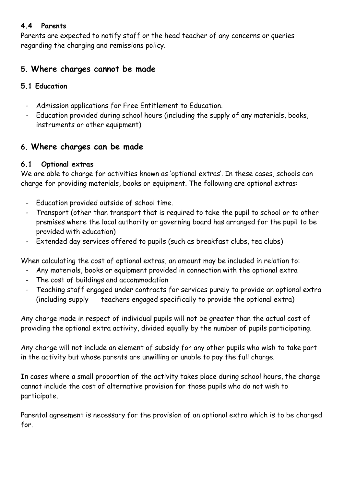#### **4.4 Parents**

Parents are expected to notify staff or the head teacher of any concerns or queries regarding the charging and remissions policy.

# **5. Where charges cannot be made**

#### **5.1 Education**

- Admission applications for Free Entitlement to Education.
- Education provided during school hours (including the supply of any materials, books, instruments or other equipment)

# **6. Where charges can be made**

## **6.1 Optional extras**

We are able to charge for activities known as 'optional extras'. In these cases, schools can charge for providing materials, books or equipment. The following are optional extras:

- Education provided outside of school time.
- Transport (other than transport that is required to take the pupil to school or to other premises where the local authority or governing board has arranged for the pupil to be provided with education)
- Extended day services offered to pupils (such as breakfast clubs, tea clubs)

When calculating the cost of optional extras, an amount may be included in relation to:

- Any materials, books or equipment provided in connection with the optional extra
- The cost of buildings and accommodation
- Teaching staff engaged under contracts for services purely to provide an optional extra (including supply teachers engaged specifically to provide the optional extra)

Any charge made in respect of individual pupils will not be greater than the actual cost of providing the optional extra activity, divided equally by the number of pupils participating.

Any charge will not include an element of subsidy for any other pupils who wish to take part in the activity but whose parents are unwilling or unable to pay the full charge.

In cases where a small proportion of the activity takes place during school hours, the charge cannot include the cost of alternative provision for those pupils who do not wish to participate.

Parental agreement is necessary for the provision of an optional extra which is to be charged for.